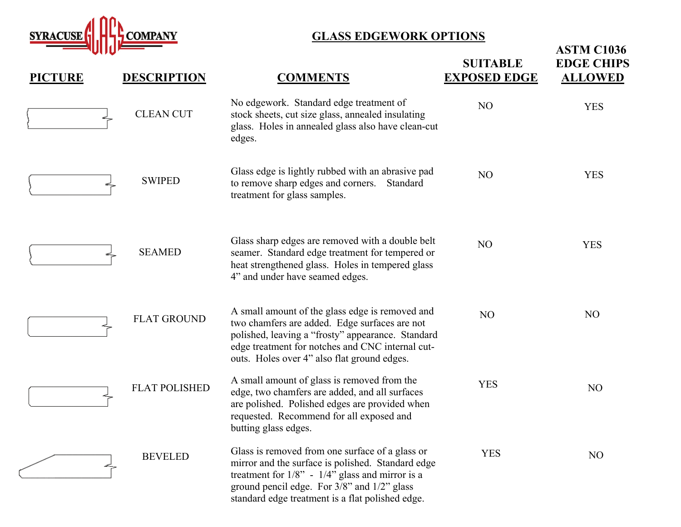

## **GLASS EDGEWORK OPTIONS**

| <b>PICTURE</b> | <b>DESCRIPTION</b>   | <b>COMMENTS</b>                                                                                                                                                                                                                                                  | <b>SUITABLE</b><br><b>EXPOSED EDGE</b> | <b>ASTM C1036</b><br><b>EDGE CHIPS</b><br><b>ALLOWED</b> |
|----------------|----------------------|------------------------------------------------------------------------------------------------------------------------------------------------------------------------------------------------------------------------------------------------------------------|----------------------------------------|----------------------------------------------------------|
|                | <b>CLEAN CUT</b>     | No edgework. Standard edge treatment of<br>stock sheets, cut size glass, annealed insulating<br>glass. Holes in annealed glass also have clean-cut<br>edges.                                                                                                     | N <sub>O</sub>                         | <b>YES</b>                                               |
|                | <b>SWIPED</b>        | Glass edge is lightly rubbed with an abrasive pad<br>to remove sharp edges and corners. Standard<br>treatment for glass samples.                                                                                                                                 | NO                                     | <b>YES</b>                                               |
|                | <b>SEAMED</b>        | Glass sharp edges are removed with a double belt<br>seamer. Standard edge treatment for tempered or<br>heat strengthened glass. Holes in tempered glass<br>4" and under have seamed edges.                                                                       | N <sub>O</sub>                         | <b>YES</b>                                               |
|                | <b>FLAT GROUND</b>   | A small amount of the glass edge is removed and<br>two chamfers are added. Edge surfaces are not<br>polished, leaving a "frosty" appearance. Standard<br>edge treatment for notches and CNC internal cut-<br>outs. Holes over 4" also flat ground edges.         | N <sub>O</sub>                         | N <sub>O</sub>                                           |
|                | <b>FLAT POLISHED</b> | A small amount of glass is removed from the<br>edge, two chamfers are added, and all surfaces<br>are polished. Polished edges are provided when<br>requested. Recommend for all exposed and<br>butting glass edges.                                              | <b>YES</b>                             | N <sub>O</sub>                                           |
|                | <b>BEVELED</b>       | Glass is removed from one surface of a glass or<br>mirror and the surface is polished. Standard edge<br>treatment for $1/8$ " - $1/4$ " glass and mirror is a<br>ground pencil edge. For 3/8" and 1/2" glass<br>standard edge treatment is a flat polished edge. | <b>YES</b>                             | N <sub>O</sub>                                           |